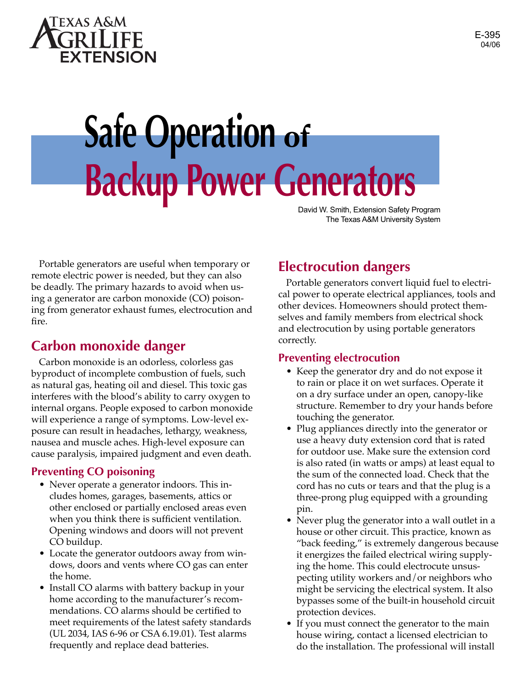

# **Safe Operation of Backup Power Generators**

David W. Smith, Extension Safety Program The Texas A&M University System

Portable generators are useful when temporary or remote electric power is needed, but they can also be deadly. The primary hazards to avoid when using a generator are carbon monoxide (CO) poisoning from generator exhaust fumes, electrocution and fire.

## **Carbon monoxide danger**

Carbon monoxide is an odorless, colorless gas byproduct of incomplete combustion of fuels, such as natural gas, heating oil and diesel. This toxic gas interferes with the blood's ability to carry oxygen to internal organs. People exposed to carbon monoxide will experience a range of symptoms. Low-level exposure can result in headaches, lethargy, weakness, nausea and muscle aches. High-level exposure can cause paralysis, impaired judgment and even death.

#### **Preventing CO poisoning**

- Never operate a generator indoors. This includes homes, garages, basements, attics or other enclosed or partially enclosed areas even when you think there is sufficient ventilation. Opening windows and doors will not prevent CO buildup.
- Locate the generator outdoors away from windows, doors and vents where CO gas can enter the home.
- Install CO alarms with battery backup in your home according to the manufacturer's recommendations. CO alarms should be certified to meet requirements of the latest safety standards (UL 2034, IAS 6-96 or CSA 6.19.01). Test alarms frequently and replace dead batteries.

## **Electrocution dangers**

Portable generators convert liquid fuel to electrical power to operate electrical appliances, tools and other devices. Homeowners should protect themselves and family members from electrical shock and electrocution by using portable generators correctly.

#### **Preventing electrocution**

- Keep the generator dry and do not expose it to rain or place it on wet surfaces. Operate it on a dry surface under an open, canopy-like structure. Remember to dry your hands before touching the generator.
- Plug appliances directly into the generator or use a heavy duty extension cord that is rated for outdoor use. Make sure the extension cord is also rated (in watts or amps) at least equal to the sum of the connected load. Check that the cord has no cuts or tears and that the plug is a three-prong plug equipped with a grounding pin.
- Never plug the generator into a wall outlet in a house or other circuit. This practice, known as "back feeding," is extremely dangerous because it energizes the failed electrical wiring supplying the home. This could electrocute unsuspecting utility workers and/or neighbors who might be servicing the electrical system. It also bypasses some of the built-in household circuit protection devices.
- If you must connect the generator to the main house wiring, contact a licensed electrician to do the installation. The professional will install